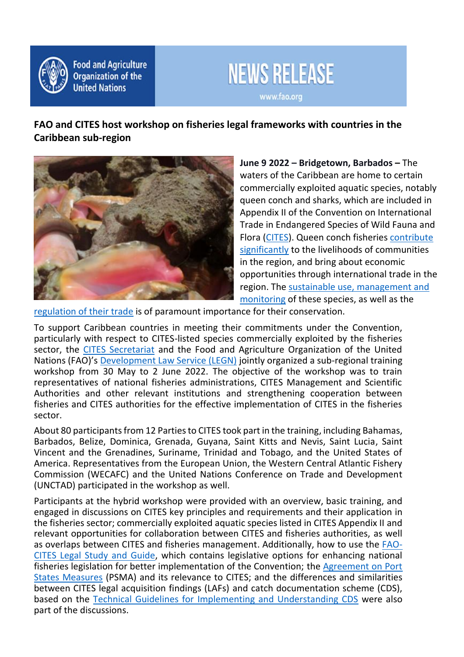

**Food and Agriculture Organization of the United Nations** 



**FAO and CITES host workshop on fisheries legal frameworks with countries in the Caribbean sub-region**



**June 9 2022 – Bridgetown, Barbados –** The waters of the Caribbean are home to certain commercially exploited aquatic species, notably queen conch and sharks, which are included in Appendix II of the Convention on International Trade in Endangered Species of Wild Fauna and Flora [\(CITES\)](https://cites.org/eng). Queen conch fisheries [contribute](https://unctad.org/system/files/official-document/ditctedinf2021d4_en.pdf)  [significantly](https://unctad.org/system/files/official-document/ditctedinf2021d4_en.pdf) to the livelihoods of communities in the region, and bring about economic opportunities through international trade in the region. The [sustainable use, management and](https://www.fao.org/3/i0256e/i0256e.pdf)  [monitoring](https://www.fao.org/3/i0256e/i0256e.pdf) of these species, as well as the

[regulation of their trade](https://unctad.org/system/files/official-document/tcsditcinf2022d2_en.pdf) is of paramount importance for their conservation.

To support Caribbean countries in meeting their commitments under the Convention, particularly with respect to CITES-listed species commercially exploited by the fisheries sector, the [CITES Secretariat](https://cites.org/eng) and the Food and Agriculture Organization of the United Nations (FAO)'s [Development Law Service \(LEGN\)](http://www.fao.org/legal-services/en/) jointly organized a sub-regional training workshop from 30 May to 2 June 2022. The objective of the workshop was to train representatives of national fisheries administrations, CITES Management and Scientific Authorities and other relevant institutions and strengthening cooperation between fisheries and CITES authorities for the effective implementation of CITES in the fisheries sector.

About 80 participants from 12 Parties to CITES took part in the training, including Bahamas, Barbados, Belize, Dominica, Grenada, Guyana, Saint Kitts and Nevis, Saint Lucia, Saint Vincent and the Grenadines, Suriname, Trinidad and Tobago, and the United States of America. Representatives from the European Union, the Western Central Atlantic Fishery Commission (WECAFC) and the United Nations Conference on Trade and Development (UNCTAD) participated in the workshop as well.

Participants at the hybrid workshop were provided with an overview, basic training, and engaged in discussions on CITES key principles and requirements and their application in the fisheries sector; commercially exploited aquatic species listed in CITES Appendix II and relevant opportunities for collaboration between CITES and fisheries authorities, as well as overlaps between CITES and fisheries management. Additionally, how to use the [FAO-](http://www.fao.org/3/cb1906en/cb1906en.pdf)[CITES Legal Study and Guide,](http://www.fao.org/3/cb1906en/cb1906en.pdf) which contains legislative options for enhancing national fisheries legislation for better implementation of the Convention; the [Agreement on Port](https://www.fao.org/port-state-measures/en/)  [States Measures](https://www.fao.org/port-state-measures/en/) (PSMA) and its relevance to CITES; and the differences and similarities between CITES legal acquisition findings (LAFs) and catch documentation scheme (CDS), based on the [Technical Guidelines for Implementing and Understanding CDS](https://www.fao.org/documents/card/en/c/cb8243en/) were also part of the discussions.